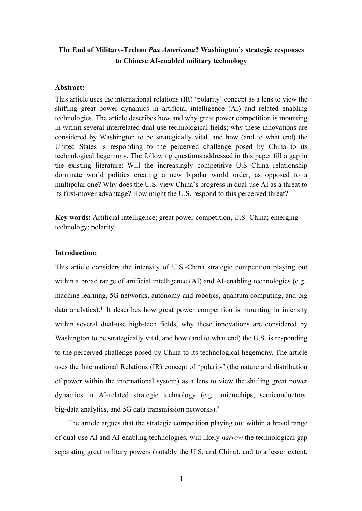# **The End of Military-Techno** *Pax Americana***? Washington's strategic responses to Chinese AI-enabled military technology**

## **Abstract:**

This article uses the international relations (IR) 'polarity' concept as a lens to view the shifting great power dynamics in artificial intelligence (AI) and related enabling technologies. The article describes how and why great power competition is mounting in within several interrelated dual-use technological fields; why these innovations are considered by Washington to be strategically vital, and how (and to what end) the United States is responding to the perceived challenge posed by China to its technological hegemony. The following questions addressed in this paper fill a gap in the existing literature: Will the increasingly competitive U.S.-China relationship dominate world politics creating a new bipolar world order, as opposed to a multipolar one? Why does the U.S. view China's progress in dual-use AI as a threat to its first-mover advantage? How might the U.S. respond to this perceived threat?

**Key words:** Artificial intelligence; great power competition, U.S.-China; emerging technology; polarity

### **Introduction:**

This article considers the intensity of U.S.-China strategic competition playing out within a broad range of artificial intelligence (AI) and AI-enabling technologies (e.g., machine learning, 5G networks, autonomy and robotics, quantum computing, and big data analytics).<sup>1</sup> It describes how great power competition is mounting in intensity within several dual-use high-tech fields, why these innovations are considered by Washington to be strategically vital, and how (and to what end) the U.S. is responding to the perceived challenge posed by China to its technological hegemony. The article uses the International Relations (IR) concept of 'polarity' (the nature and distribution of power within the international system) as a lens to view the shifting great power dynamics in AI-related strategic technology (e.g., microchips, semiconductors, big-data analytics, and 5G data transmission networks).<sup>2</sup>

The article argues that the strategic competition playing out within a broad range of dual-use AI and AI-enabling technologies, will likely *narrow* the technological gap separating great military powers (notably the U.S. and China), and to a lesser extent,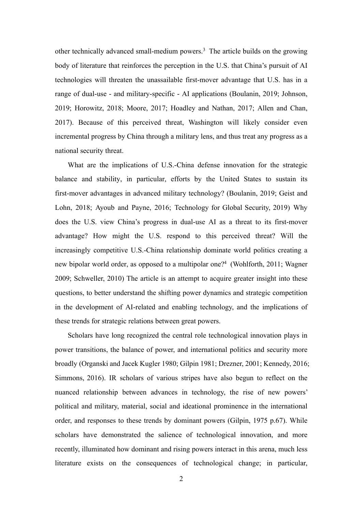other technically advanced small-medium powers.3 The article builds on the growing body of literature that reinforces the perception in the U.S. that China's pursuit of AI technologies will threaten the unassailable first-mover advantage that U.S. has in a range of dual-use - and military-specific - AI applications (Boulanin, 2019; Johnson, 2019; Horowitz, 2018; Moore, 2017; Hoadley and Nathan, 2017; Allen and Chan, 2017). Because of this perceived threat, Washington will likely consider even incremental progress by China through a military lens, and thus treat any progress as a national security threat.

What are the implications of U.S.-China defense innovation for the strategic balance and stability, in particular, efforts by the United States to sustain its first-mover advantages in advanced military technology? (Boulanin, 2019; Geist and Lohn, 2018; Ayoub and Payne, 2016; Technology for Global Security, 2019) Why does the U.S. view China's progress in dual-use AI as a threat to its first-mover advantage? How might the U.S. respond to this perceived threat? Will the increasingly competitive U.S.-China relationship dominate world politics creating a new bipolar world order, as opposed to a multipolar one?4 (Wohlforth, 2011; Wagner 2009; Schweller, 2010) The article is an attempt to acquire greater insight into these questions, to better understand the shifting power dynamics and strategic competition in the development of AI-related and enabling technology, and the implications of these trends for strategic relations between great powers.

Scholars have long recognized the central role technological innovation plays in power transitions, the balance of power, and international politics and security more broadly (Organski and Jacek Kugler 1980; Gilpin 1981; Drezner, 2001; Kennedy, 2016; Simmons, 2016). IR scholars of various stripes have also begun to reflect on the nuanced relationship between advances in technology, the rise of new powers' political and military, material, social and ideational prominence in the international order, and responses to these trends by dominant powers (Gilpin, 1975 p.67). While scholars have demonstrated the salience of technological innovation, and more recently, illuminated how dominant and rising powers interact in this arena, much less literature exists on the consequences of technological change; in particular,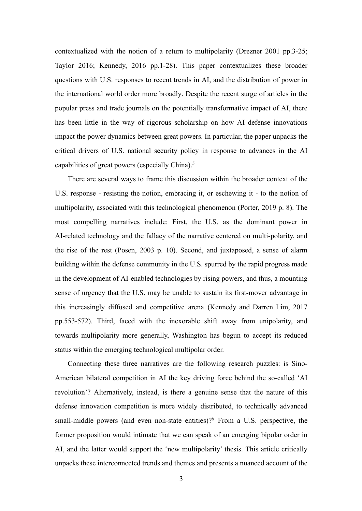contextualized with the notion of a return to multipolarity (Drezner 2001 pp.3-25; Taylor 2016; Kennedy, 2016 pp.1-28). This paper contextualizes these broader questions with U.S. responses to recent trends in AI, and the distribution of power in the international world order more broadly. Despite the recent surge of articles in the popular press and trade journals on the potentially transformative impact of AI, there has been little in the way of rigorous scholarship on how AI defense innovations impact the power dynamics between great powers. In particular, the paper unpacks the critical drivers of U.S. national security policy in response to advances in the AI capabilities of great powers (especially China).5

There are several ways to frame this discussion within the broader context of the U.S. response - resisting the notion, embracing it, or eschewing it - to the notion of multipolarity, associated with this technological phenomenon (Porter, 2019 p. 8). The most compelling narratives include: First, the U.S. as the dominant power in AI-related technology and the fallacy of the narrative centered on multi-polarity, and the rise of the rest (Posen, 2003 p. 10). Second, and juxtaposed, a sense of alarm building within the defense community in the U.S. spurred by the rapid progress made in the development of AI-enabled technologies by rising powers, and thus, a mounting sense of urgency that the U.S. may be unable to sustain its first-mover advantage in this increasingly diffused and competitive arena (Kennedy and Darren Lim, 2017 pp.553-572). Third, faced with the inexorable shift away from unipolarity, and towards multipolarity more generally, Washington has begun to accept its reduced status within the emerging technological multipolar order.

Connecting these three narratives are the following research puzzles: is Sino-American bilateral competition in AI the key driving force behind the so-called 'AI revolution'? Alternatively, instead, is there a genuine sense that the nature of this defense innovation competition is more widely distributed, to technically advanced small-middle powers (and even non-state entities)?6 From a U.S. perspective, the former proposition would intimate that we can speak of an emerging bipolar order in AI, and the latter would support the 'new multipolarity' thesis. This article critically unpacks these interconnected trends and themes and presents a nuanced account of the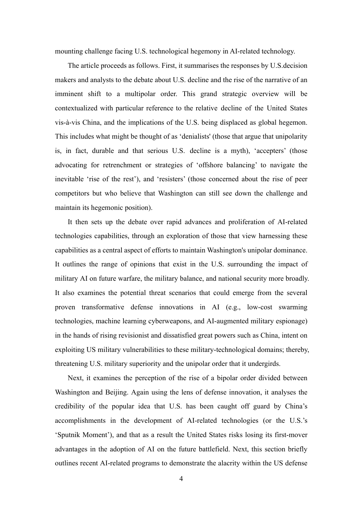mounting challenge facing U.S. technological hegemony in AI-related technology.

The article proceeds as follows. First, it summarises the responses by U.S.decision makers and analysts to the debate about U.S. decline and the rise of the narrative of an imminent shift to a multipolar order. This grand strategic overview will be contextualized with particular reference to the relative decline of the United States vis-à-vis China, and the implications of the U.S. being displaced as global hegemon. This includes what might be thought of as 'denialists' (those that argue that unipolarity is, in fact, durable and that serious U.S. decline is a myth), 'accepters' (those advocating for retrenchment or strategies of 'offshore balancing' to navigate the inevitable 'rise of the rest'), and 'resisters' (those concerned about the rise of peer competitors but who believe that Washington can still see down the challenge and maintain its hegemonic position).

It then sets up the debate over rapid advances and proliferation of AI-related technologies capabilities, through an exploration of those that view harnessing these capabilities as a central aspect of efforts to maintain Washington's unipolar dominance. It outlines the range of opinions that exist in the U.S. surrounding the impact of military AI on future warfare, the military balance, and national security more broadly. It also examines the potential threat scenarios that could emerge from the several proven transformative defense innovations in AI (e.g., low-cost swarming technologies, machine learning cyberweapons, and AI-augmented military espionage) in the hands of rising revisionist and dissatisfied great powers such as China, intent on exploiting US military vulnerabilities to these military-technological domains; thereby, threatening U.S. military superiority and the unipolar order that it undergirds.

Next, it examines the perception of the rise of a bipolar order divided between Washington and Beijing. Again using the lens of defense innovation, it analyses the credibility of the popular idea that U.S. has been caught off guard by China's accomplishments in the development of AI-related technologies (or the U.S.'s 'Sputnik Moment'), and that as a result the United States risks losing its first-mover advantages in the adoption of AI on the future battlefield. Next, this section briefly outlines recent AI-related programs to demonstrate the alacrity within the US defense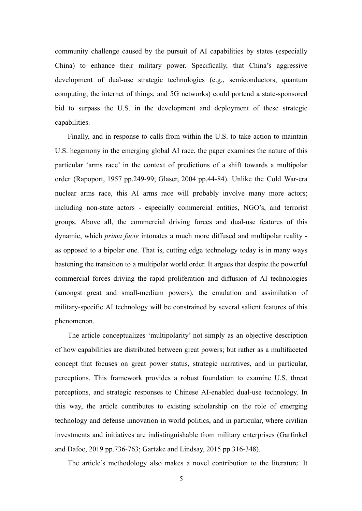community challenge caused by the pursuit of AI capabilities by states (especially China) to enhance their military power. Specifically, that China's aggressive development of dual-use strategic technologies (e.g., semiconductors, quantum computing, the internet of things, and 5G networks) could portend a state-sponsored bid to surpass the U.S. in the development and deployment of these strategic capabilities.

Finally, and in response to calls from within the U.S. to take action to maintain U.S. hegemony in the emerging global AI race, the paper examines the nature of this particular 'arms race' in the context of predictions of a shift towards a multipolar order (Rapoport, 1957 pp.249-99; Glaser, 2004 pp.44-84). Unlike the Cold War-era nuclear arms race, this AI arms race will probably involve many more actors; including non-state actors - especially commercial entities, NGO's, and terrorist groups. Above all, the commercial driving forces and dual-use features of this dynamic, which *prima facie* intonates a much more diffused and multipolar reality as opposed to a bipolar one. That is, cutting edge technology today is in many ways hastening the transition to a multipolar world order. It argues that despite the powerful commercial forces driving the rapid proliferation and diffusion of AI technologies (amongst great and small-medium powers), the emulation and assimilation of military-specific AI technology will be constrained by several salient features of this phenomenon.

The article conceptualizes 'multipolarity' not simply as an objective description of how capabilities are distributed between great powers; but rather as a multifaceted concept that focuses on great power status, strategic narratives, and in particular, perceptions. This framework provides a robust foundation to examine U.S. threat perceptions, and strategic responses to Chinese AI-enabled dual-use technology. In this way, the article contributes to existing scholarship on the role of emerging technology and defense innovation in world politics, and in particular, where civilian investments and initiatives are indistinguishable from military enterprises (Garfinkel and Dafoe, 2019 pp.736-763; Gartzke and Lindsay, 2015 pp.316-348).

The article's methodology also makes a novel contribution to the literature. It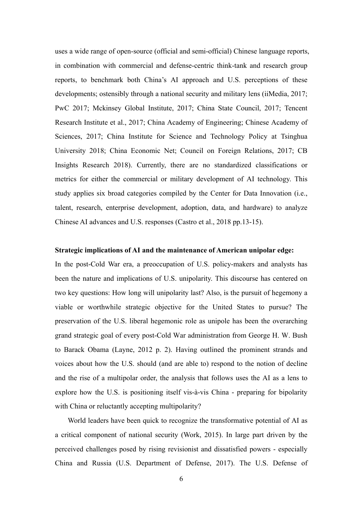uses a wide range of open-source (official and semi-official) Chinese language reports, in combination with commercial and defense-centric think-tank and research group reports, to benchmark both China's AI approach and U.S. perceptions of these developments; ostensibly through a national security and military lens (iiMedia, 2017; PwC 2017; Mckinsey Global Institute, 2017; China State Council, 2017; Tencent Research Institute et al., 2017; China Academy of Engineering; Chinese Academy of Sciences, 2017; China Institute for Science and Technology Policy at Tsinghua University 2018; China Economic Net; Council on Foreign Relations, 2017; CB Insights Research 2018). Currently, there are no standardized classifications or metrics for either the commercial or military development of AI technology. This study applies six broad categories compiled by the Center for Data Innovation (i.e., talent, research, enterprise development, adoption, data, and hardware) to analyze Chinese AI advances and U.S. responses (Castro et al., 2018 pp.13-15).

#### **Strategic implications of AI and the maintenance of American unipolar edge:**

In the post-Cold War era, a preoccupation of U.S. policy-makers and analysts has been the nature and implications of U.S. unipolarity. This discourse has centered on two key questions: How long will unipolarity last? Also, is the pursuit of hegemony a viable or worthwhile strategic objective for the United States to pursue? The preservation of the U.S. liberal hegemonic role as unipole has been the overarching grand strategic goal of every post-Cold War administration from George H. W. Bush to Barack Obama (Layne, 2012 p. 2). Having outlined the prominent strands and voices about how the U.S. should (and are able to) respond to the notion of decline and the rise of a multipolar order, the analysis that follows uses the AI as a lens to explore how the U.S. is positioning itself vis-à-vis China - preparing for bipolarity with China or reluctantly accepting multipolarity?

World leaders have been quick to recognize the transformative potential of AI as a critical component of national security (Work, 2015). In large part driven by the perceived challenges posed by rising revisionist and dissatisfied powers - especially China and Russia (U.S. Department of Defense, 2017). The U.S. Defense of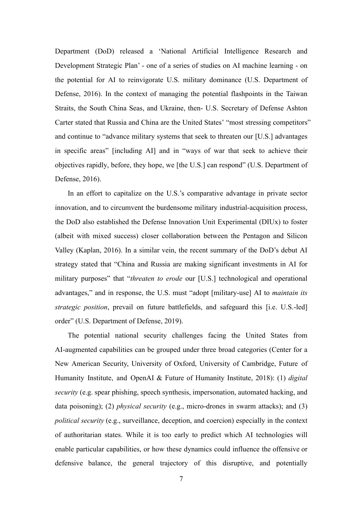Department (DoD) released a 'National Artificial Intelligence Research and Development Strategic Plan' - one of a series of studies on AI machine learning - on the potential for AI to reinvigorate U.S. military dominance (U.S. Department of Defense, 2016). In the context of managing the potential flashpoints in the Taiwan Straits, the South China Seas, and Ukraine, then- U.S. Secretary of Defense Ashton Carter stated that Russia and China are the United States' "most stressing competitors" and continue to "advance military systems that seek to threaten our [U.S.] advantages in specific areas" [including AI] and in "ways of war that seek to achieve their objectives rapidly, before, they hope, we [the U.S.] can respond" (U.S. Department of Defense, 2016).

In an effort to capitalize on the U.S.'s comparative advantage in private sector innovation, and to circumvent the burdensome military industrial-acquisition process, the DoD also established the Defense Innovation Unit Experimental (DIUx) to foster (albeit with mixed success) closer collaboration between the Pentagon and Silicon Valley (Kaplan, 2016). In a similar vein, the recent summary of the DoD's debut AI strategy stated that "China and Russia are making significant investments in AI for military purposes" that "*threaten to erode* our [U.S.] technological and operational advantages," and in response, the U.S. must "adopt [military-use] AI to *maintain its strategic position*, prevail on future battlefields, and safeguard this [i.e. U.S.-led] order" (U.S. Department of Defense, 2019).

The potential national security challenges facing the United States from AI-augmented capabilities can be grouped under three broad categories (Center for a New American Security, University of Oxford, University of Cambridge, Future of Humanity Institute, and OpenAI & Future of Humanity Institute, 2018): (1) *digital security* (e.g. spear phishing, speech synthesis, impersonation, automated hacking, and data poisoning); (2) *physical security* (e.g., micro-drones in swarm attacks); and (3) *political security* (e.g., surveillance, deception, and coercion) especially in the context of authoritarian states. While it is too early to predict which AI technologies will enable particular capabilities, or how these dynamics could influence the offensive or defensive balance, the general trajectory of this disruptive, and potentially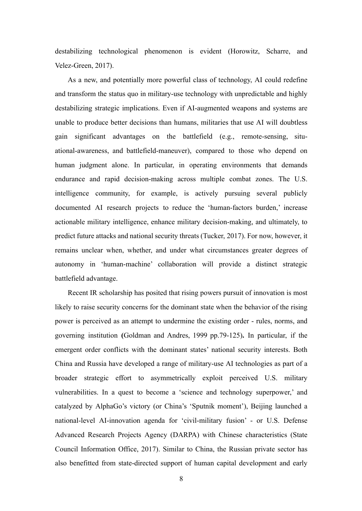destabilizing technological phenomenon is evident (Horowitz, Scharre, and Velez-Green, 2017).

As a new, and potentially more powerful class of technology, AI could redefine and transform the status quo in military-use technology with unpredictable and highly destabilizing strategic implications. Even if AI-augmented weapons and systems are unable to produce better decisions than humans, militaries that use AI will doubtless gain significant advantages on the battlefield (e.g., remote-sensing, situational-awareness, and battlefield-maneuver), compared to those who depend on human judgment alone. In particular, in operating environments that demands endurance and rapid decision-making across multiple combat zones. The U.S. intelligence community, for example, is actively pursuing several publicly documented AI research projects to reduce the 'human-factors burden,' increase actionable military intelligence, enhance military decision-making, and ultimately, to predict future attacks and national security threats (Tucker, 2017). For now, however, it remains unclear when, whether, and under what circumstances greater degrees of autonomy in 'human-machine' collaboration will provide a distinct strategic battlefield advantage.

Recent IR scholarship has posited that rising powers pursuit of innovation is most likely to raise security concerns for the dominant state when the behavior of the rising power is perceived as an attempt to undermine the existing order - rules, norms, and governing institution **(**Goldman and Andres, 1999 pp.79-125)**.** In particular, if the emergent order conflicts with the dominant states' national security interests. Both China and Russia have developed a range of military-use AI technologies as part of a broader strategic effort to asymmetrically exploit perceived U.S. military vulnerabilities. In a quest to become a 'science and technology superpower,' and catalyzed by AlphaGo's victory (or China's 'Sputnik moment'), Beijing launched a national-level AI-innovation agenda for 'civil-military fusion' - or U.S. Defense Advanced Research Projects Agency (DARPA) with Chinese characteristics (State Council Information Office, 2017). Similar to China, the Russian private sector has also benefitted from state-directed support of human capital development and early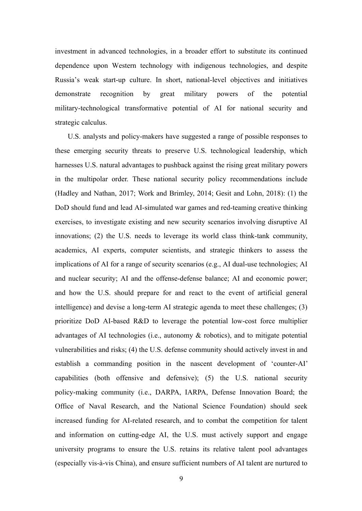investment in advanced technologies, in a broader effort to substitute its continued dependence upon Western technology with indigenous technologies, and despite Russia's weak start-up culture. In short, national-level objectives and initiatives demonstrate recognition by great military powers of the potential military-technological transformative potential of AI for national security and strategic calculus.

U.S. analysts and policy-makers have suggested a range of possible responses to these emerging security threats to preserve U.S. technological leadership, which harnesses U.S. natural advantages to pushback against the rising great military powers in the multipolar order. These national security policy recommendations include (Hadley and Nathan, 2017; Work and Brimley, 2014; Gesit and Lohn, 2018): (1) the DoD should fund and lead AI-simulated war games and red-teaming creative thinking exercises, to investigate existing and new security scenarios involving disruptive AI innovations; (2) the U.S. needs to leverage its world class think-tank community, academics, AI experts, computer scientists, and strategic thinkers to assess the implications of AI for a range of security scenarios (e.g., AI dual-use technologies; AI and nuclear security; AI and the offense-defense balance; AI and economic power; and how the U.S. should prepare for and react to the event of artificial general intelligence) and devise a long-term AI strategic agenda to meet these challenges; (3) prioritize DoD AI-based R&D to leverage the potential low-cost force multiplier advantages of AI technologies (i.e., autonomy & robotics), and to mitigate potential vulnerabilities and risks; (4) the U.S. defense community should actively invest in and establish a commanding position in the nascent development of 'counter-AI' capabilities (both offensive and defensive); (5) the U.S. national security policy-making community (i.e., DARPA, IARPA, Defense Innovation Board; the Office of Naval Research, and the National Science Foundation) should seek increased funding for AI-related research, and to combat the competition for talent and information on cutting-edge AI, the U.S. must actively support and engage university programs to ensure the U.S. retains its relative talent pool advantages (especially vis-à-vis China), and ensure sufficient numbers of AI talent are nurtured to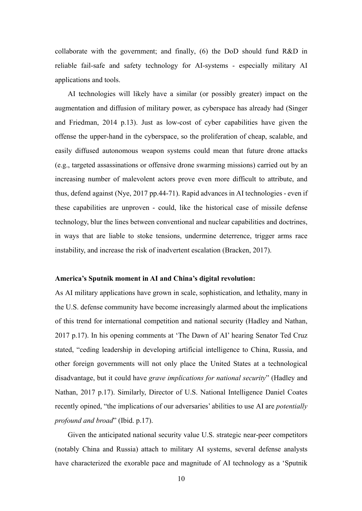collaborate with the government; and finally, (6) the DoD should fund R&D in reliable fail-safe and safety technology for AI-systems - especially military AI applications and tools.

AI technologies will likely have a similar (or possibly greater) impact on the augmentation and diffusion of military power, as cyberspace has already had (Singer and Friedman, 2014 p.13). Just as low-cost of cyber capabilities have given the offense the upper-hand in the cyberspace, so the proliferation of cheap, scalable, and easily diffused autonomous weapon systems could mean that future drone attacks (e.g., targeted assassinations or offensive drone swarming missions) carried out by an increasing number of malevolent actors prove even more difficult to attribute, and thus, defend against (Nye, 2017 pp.44-71). Rapid advances in AI technologies - even if these capabilities are unproven - could, like the historical case of missile defense technology, blur the lines between conventional and nuclear capabilities and doctrines, in ways that are liable to stoke tensions, undermine deterrence, trigger arms race instability, and increase the risk of inadvertent escalation (Bracken, 2017).

### **America's Sputnik moment in AI and China's digital revolution:**

As AI military applications have grown in scale, sophistication, and lethality, many in the U.S. defense community have become increasingly alarmed about the implications of this trend for international competition and national security (Hadley and Nathan, 2017 p.17). In his opening comments at 'The Dawn of AI' hearing Senator Ted Cruz stated, "ceding leadership in developing artificial intelligence to China, Russia, and other foreign governments will not only place the United States at a technological disadvantage, but it could have *grave implications for national security*" (Hadley and Nathan, 2017 p.17). Similarly, Director of U.S. National Intelligence Daniel Coates recently opined, "the implications of our adversaries' abilities to use AI are *potentially profound and broad*" (Ibid. p.17).

Given the anticipated national security value U.S. strategic near-peer competitors (notably China and Russia) attach to military AI systems, several defense analysts have characterized the exorable pace and magnitude of AI technology as a 'Sputnik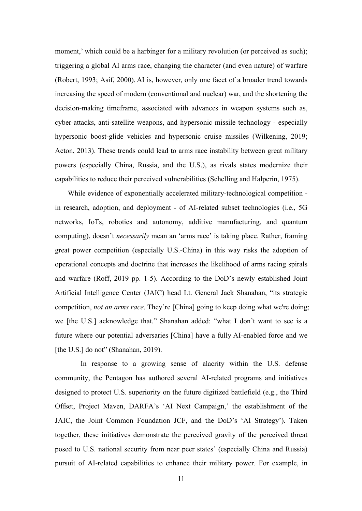moment,' which could be a harbinger for a military revolution (or perceived as such); triggering a global AI arms race, changing the character (and even nature) of warfare (Robert, 1993; Asif, 2000). AI is, however, only one facet of a broader trend towards increasing the speed of modern (conventional and nuclear) war, and the shortening the decision-making timeframe, associated with advances in weapon systems such as, cyber-attacks, anti-satellite weapons, and hypersonic missile technology - especially hypersonic boost-glide vehicles and hypersonic cruise missiles (Wilkening, 2019; Acton, 2013). These trends could lead to arms race instability between great military powers (especially China, Russia, and the U.S.), as rivals states modernize their capabilities to reduce their perceived vulnerabilities (Schelling and Halperin, 1975).

While evidence of exponentially accelerated military-technological competition in research, adoption, and deployment - of AI-related subset technologies (i.e., 5G networks, IoTs, robotics and autonomy, additive manufacturing, and quantum computing), doesn't *necessarily* mean an 'arms race' is taking place. Rather, framing great power competition (especially U.S.-China) in this way risks the adoption of operational concepts and doctrine that increases the likelihood of arms racing spirals and warfare (Roff, 2019 pp. 1-5). According to the DoD's newly established Joint Artificial Intelligence Center (JAIC) head Lt. General Jack Shanahan, "its strategic competition, *not an arms race*. They're [China] going to keep doing what we're doing; we [the U.S.] acknowledge that." Shanahan added: "what I don't want to see is a future where our potential adversaries [China] have a fully AI-enabled force and we [the U.S.] do not" (Shanahan, 2019).

In response to a growing sense of alacrity within the U.S. defense community, the Pentagon has authored several AI-related programs and initiatives designed to protect U.S. superiority on the future digitized battlefield (e.g., the Third Offset, Project Maven, DARFA's 'AI Next Campaign,' the establishment of the JAIC, the Joint Common Foundation JCF, and the DoD's 'AI Strategy'). Taken together, these initiatives demonstrate the perceived gravity of the perceived threat posed to U.S. national security from near peer states' (especially China and Russia) pursuit of AI-related capabilities to enhance their military power. For example, in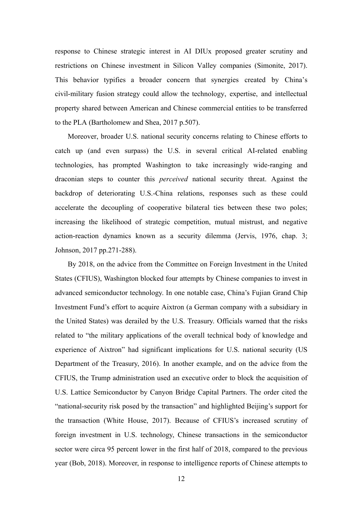response to Chinese strategic interest in AI DIUx proposed greater scrutiny and restrictions on Chinese investment in Silicon Valley companies (Simonite, 2017). This behavior typifies a broader concern that synergies created by China's civil-military fusion strategy could allow the technology, expertise, and intellectual property shared between American and Chinese commercial entities to be transferred to the PLA (Bartholomew and Shea, 2017 p.507).

Moreover, broader U.S. national security concerns relating to Chinese efforts to catch up (and even surpass) the U.S. in several critical AI-related enabling technologies, has prompted Washington to take increasingly wide-ranging and draconian steps to counter this *perceived* national security threat. Against the backdrop of deteriorating U.S.-China relations, responses such as these could accelerate the decoupling of cooperative bilateral ties between these two poles; increasing the likelihood of strategic competition, mutual mistrust, and negative action-reaction dynamics known as a security dilemma (Jervis, 1976, chap. 3; Johnson, 2017 pp.271-288).

By 2018, on the advice from the Committee on Foreign Investment in the United States (CFIUS), Washington blocked four attempts by Chinese companies to invest in advanced semiconductor technology. In one notable case, China's Fujian Grand Chip Investment Fund's effort to acquire Aixtron (a German company with a subsidiary in the United States) was derailed by the U.S. Treasury. Officials warned that the risks related to "the military applications of the overall technical body of knowledge and experience of Aixtron" had significant implications for U.S. national security (US Department of the Treasury, 2016). In another example, and on the advice from the CFIUS, the Trump administration used an executive order to block the acquisition of U.S. Lattice Semiconductor by Canyon Bridge Capital Partners. The order cited the "national-security risk posed by the transaction" and highlighted Beijing's support for the transaction (White House, 2017). Because of CFIUS's increased scrutiny of foreign investment in U.S. technology, Chinese transactions in the semiconductor sector were circa 95 percent lower in the first half of 2018, compared to the previous year (Bob, 2018). Moreover, in response to intelligence reports of Chinese attempts to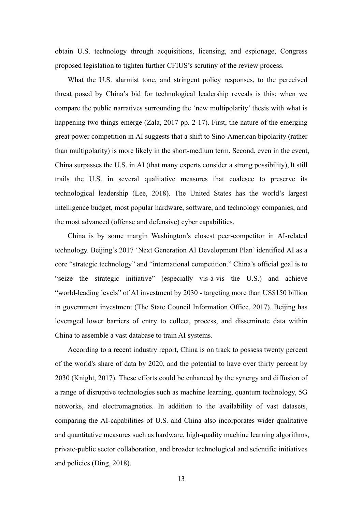obtain U.S. technology through acquisitions, licensing, and espionage, Congress proposed legislation to tighten further CFIUS's scrutiny of the review process.

What the U.S. alarmist tone, and stringent policy responses, to the perceived threat posed by China's bid for technological leadership reveals is this: when we compare the public narratives surrounding the 'new multipolarity' thesis with what is happening two things emerge (Zala, 2017 pp. 2-17). First, the nature of the emerging great power competition in AI suggests that a shift to Sino-American bipolarity (rather than multipolarity) is more likely in the short-medium term. Second, even in the event, China surpasses the U.S. in AI (that many experts consider a strong possibility), It still trails the U.S. in several qualitative measures that coalesce to preserve its technological leadership (Lee, 2018). The United States has the world's largest intelligence budget, most popular hardware, software, and technology companies, and the most advanced (offense and defensive) cyber capabilities.

China is by some margin Washington's closest peer-competitor in AI-related technology. Beijing's 2017 'Next Generation AI Development Plan' identified AI as a core "strategic technology" and "international competition." China's official goal is to "seize the strategic initiative" (especially vis-à-vis the U.S.) and achieve "world-leading levels" of AI investment by 2030 - targeting more than US\$150 billion in government investment (The State Council Information Office, 2017). Beijing has leveraged lower barriers of entry to collect, process, and disseminate data within China to assemble a vast database to train AI systems.

According to a recent industry report, China is on track to possess twenty percent of the world's share of data by 2020, and the potential to have over thirty percent by 2030 (Knight, 2017). These efforts could be enhanced by the synergy and diffusion of a range of disruptive technologies such as machine learning, quantum technology, 5G networks, and electromagnetics. In addition to the availability of vast datasets, comparing the AI-capabilities of U.S. and China also incorporates wider qualitative and quantitative measures such as hardware, high-quality machine learning algorithms, private-public sector collaboration, and broader technological and scientific initiatives and policies (Ding, 2018).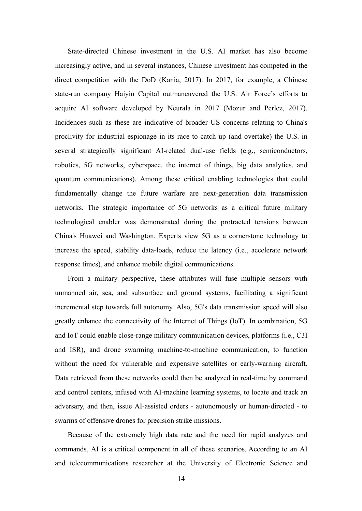State-directed Chinese investment in the U.S. AI market has also become increasingly active, and in several instances, Chinese investment has competed in the direct competition with the DoD (Kania, 2017). In 2017, for example, a Chinese state-run company Haiyin Capital outmaneuvered the U.S. Air Force's efforts to acquire AI software developed by Neurala in 2017 (Mozur and Perlez, 2017). Incidences such as these are indicative of broader US concerns relating to China's proclivity for industrial espionage in its race to catch up (and overtake) the U.S. in several strategically significant AI-related dual-use fields (e.g., semiconductors, robotics, 5G networks, cyberspace, the internet of things, big data analytics, and quantum communications). Among these critical enabling technologies that could fundamentally change the future warfare are next-generation data transmission networks. The strategic importance of 5G networks as a critical future military technological enabler was demonstrated during the protracted tensions between China's Huawei and Washington. Experts view 5G as a cornerstone technology to increase the speed, stability data-loads, reduce the latency (i.e., accelerate network response times), and enhance mobile digital communications.

From a military perspective, these attributes will fuse multiple sensors with unmanned air, sea, and subsurface and ground systems, facilitating a significant incremental step towards full autonomy. Also, 5G's data transmission speed will also greatly enhance the connectivity of the Internet of Things (IoT). In combination, 5G and IoT could enable close-range military communication devices, platforms (i.e., C3I and ISR), and drone swarming machine-to-machine communication, to function without the need for vulnerable and expensive satellites or early-warning aircraft. Data retrieved from these networks could then be analyzed in real-time by command and control centers, infused with AI-machine learning systems, to locate and track an adversary, and then, issue AI-assisted orders - autonomously or human-directed - to swarms of offensive drones for precision strike missions.

Because of the extremely high data rate and the need for rapid analyzes and commands, AI is a critical component in all of these scenarios. According to an AI and telecommunications researcher at the University of Electronic Science and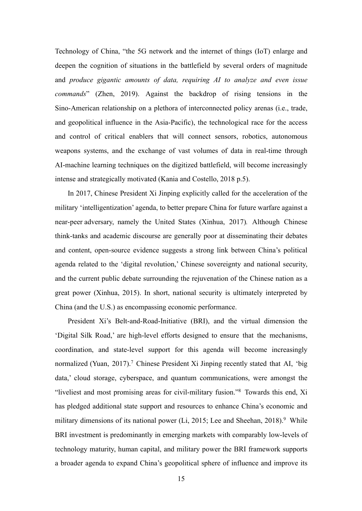Technology of China, "the 5G network and the internet of things (IoT) enlarge and deepen the cognition of situations in the battlefield by several orders of magnitude and *produce gigantic amounts of data, requiring AI to analyze and even issue commands*" (Zhen, 2019). Against the backdrop of rising tensions in the Sino-American relationship on a plethora of interconnected policy arenas (i.e., trade, and geopolitical influence in the Asia-Pacific), the technological race for the access and control of critical enablers that will connect sensors, robotics, autonomous weapons systems, and the exchange of vast volumes of data in real-time through AI-machine learning techniques on the digitized battlefield, will become increasingly intense and strategically motivated (Kania and Costello, 2018 p.5).

In 2017, Chinese President Xi Jinping explicitly called for the acceleration of the military 'intelligentization' agenda, to better prepare China for future warfare against a near-peer adversary, namely the United States (Xinhua, 2017)*.* Although Chinese think-tanks and academic discourse are generally poor at disseminating their debates and content, open-source evidence suggests a strong link between China's political agenda related to the 'digital revolution,' Chinese sovereignty and national security, and the current public debate surrounding the rejuvenation of the Chinese nation as a great power (Xinhua, 2015). In short, national security is ultimately interpreted by China (and the U.S.) as encompassing economic performance.

President Xi's Belt-and-Road-Initiative (BRI), and the virtual dimension the 'Digital Silk Road,' are high-level efforts designed to ensure that the mechanisms, coordination, and state-level support for this agenda will become increasingly normalized (Yuan, 2017).<sup>7</sup> Chinese President Xi Jinping recently stated that AI, 'big data,' cloud storage, cyberspace, and quantum communications, were amongst the "liveliest and most promising areas for civil-military fusion."8 Towards this end, Xi has pledged additional state support and resources to enhance China's economic and military dimensions of its national power  $(Li, 2015;$  Lee and Sheehan,  $2018$ .<sup>9</sup> While BRI investment is predominantly in emerging markets with comparably low-levels of technology maturity, human capital, and military power the BRI framework supports a broader agenda to expand China's geopolitical sphere of influence and improve its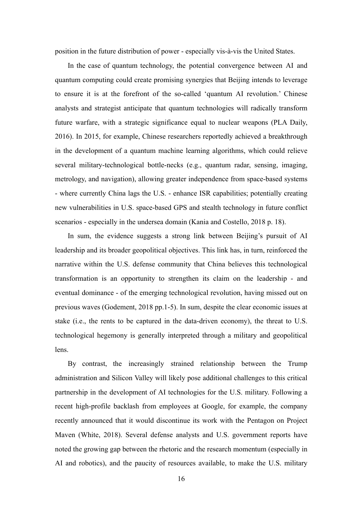position in the future distribution of power - especially vis-à-vis the United States.

In the case of quantum technology, the potential convergence between AI and quantum computing could create promising synergies that Beijing intends to leverage to ensure it is at the forefront of the so-called 'quantum AI revolution.' Chinese analysts and strategist anticipate that quantum technologies will radically transform future warfare, with a strategic significance equal to nuclear weapons (PLA Daily, 2016). In 2015, for example, Chinese researchers reportedly achieved a breakthrough in the development of a quantum machine learning algorithms, which could relieve several military-technological bottle-necks (e.g., quantum radar, sensing, imaging, metrology, and navigation), allowing greater independence from space-based systems - where currently China lags the U.S. - enhance ISR capabilities; potentially creating new vulnerabilities in U.S. space-based GPS and stealth technology in future conflict scenarios - especially in the undersea domain (Kania and Costello, 2018 p. 18).

In sum, the evidence suggests a strong link between Beijing's pursuit of AI leadership and its broader geopolitical objectives. This link has, in turn, reinforced the narrative within the U.S. defense community that China believes this technological transformation is an opportunity to strengthen its claim on the leadership - and eventual dominance - of the emerging technological revolution, having missed out on previous waves (Godement, 2018 pp.1-5). In sum, despite the clear economic issues at stake (i.e., the rents to be captured in the data-driven economy), the threat to U.S. technological hegemony is generally interpreted through a military and geopolitical lens.

By contrast, the increasingly strained relationship between the Trump administration and Silicon Valley will likely pose additional challenges to this critical partnership in the development of AI technologies for the U.S. military. Following a recent high-profile backlash from employees at Google, for example, the company recently announced that it would discontinue its work with the Pentagon on Project Maven (White, 2018). Several defense analysts and U.S. government reports have noted the growing gap between the rhetoric and the research momentum (especially in AI and robotics), and the paucity of resources available, to make the U.S. military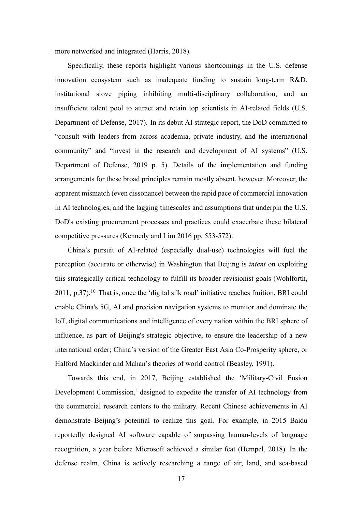more networked and integrated (Harris, 2018).

Specifically, these reports highlight various shortcomings in the U.S. defense innovation ecosystem such as inadequate funding to sustain long-term R&D, institutional stove piping inhibiting multi-disciplinary collaboration, and an insufficient talent pool to attract and retain top scientists in AI-related fields (U.S. Department of Defense, 2017). In its debut AI strategic report, the DoD committed to "consult with leaders from across academia, private industry, and the international community" and "invest in the research and development of AI systems" (U.S. Department of Defense, 2019 p. 5). Details of the implementation and funding arrangements for these broad principles remain mostly absent, however. Moreover, the apparent mismatch (even dissonance) between the rapid pace of commercial innovation in AI technologies, and the lagging timescales and assumptions that underpin the U.S. DoD's existing procurement processes and practices could exacerbate these bilateral competitive pressures (Kennedy and Lim 2016 pp. 553-572).

China's pursuit of AI-related (especially dual-use) technologies will fuel the perception (accurate or otherwise) in Washington that Beijing is *intent* on exploiting this strategically critical technology to fulfill its broader revisionist goals (Wohlforth,  $2011$ , p.37).<sup>10</sup> That is, once the 'digital silk road' initiative reaches fruition, BRI could enable China's 5G, AI and precision navigation systems to monitor and dominate the IoT, digital communications and intelligence of every nation within the BRI sphere of influence, as part of Beijing's strategic objective, to ensure the leadership of a new international order; China's version of the Greater East Asia Co-Prosperity sphere, or Halford Mackinder and Mahan's theories of world control (Beasley, 1991).

Towards this end, in 2017, Beijing established the 'Military-Civil Fusion Development Commission,' designed to expedite the transfer of AI technology from the commercial research centers to the military. Recent Chinese achievements in AI demonstrate Beijing's potential to realize this goal. For example, in 2015 Baidu reportedly designed AI software capable of surpassing human-levels of language recognition, a year before Microsoft achieved a similar feat (Hempel, 2018). In the defense realm, China is actively researching a range of air, land, and sea-based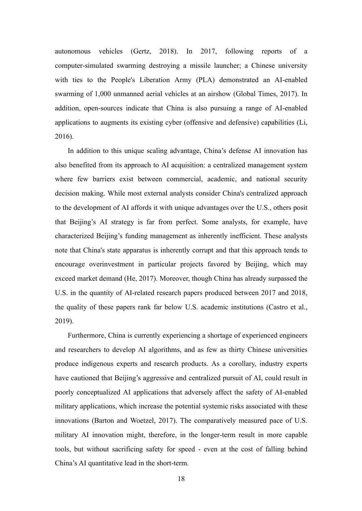autonomous vehicles (Gertz, 2018). In 2017, following reports of a computer-simulated swarming destroying a missile launcher; a Chinese university with ties to the People's Liberation Army (PLA) demonstrated an AI-enabled swarming of 1,000 unmanned aerial vehicles at an airshow (Global Times, 2017). In addition, open-sources indicate that China is also pursuing a range of AI-enabled applications to augments its existing cyber (offensive and defensive) capabilities (Li, 2016).

In addition to this unique scaling advantage, China's defense AI innovation has also benefited from its approach to AI acquisition: a centralized management system where few barriers exist between commercial, academic, and national security decision making. While most external analysts consider China's centralized approach to the development of AI affords it with unique advantages over the U.S., others posit that Beijing's AI strategy is far from perfect. Some analysts, for example, have characterized Beijing's funding management as inherently inefficient. These analysts note that China's state apparatus is inherently corrupt and that this approach tends to encourage overinvestment in particular projects favored by Beijing, which may exceed market demand (He, 2017). Moreover, though China has already surpassed the U.S. in the quantity of AI-related research papers produced between 2017 and 2018, the quality of these papers rank far below U.S. academic institutions (Castro et al., 2019).

Furthermore, China is currently experiencing a shortage of experienced engineers and researchers to develop AI algorithms, and as few as thirty Chinese universities produce indigenous experts and research products. As a corollary, industry experts have cautioned that Beijing's aggressive and centralized pursuit of AI, could result in poorly conceptualized AI applications that adversely affect the safety of AI-enabled military applications, which increase the potential systemic risks associated with these innovations (Barton and Woetzel, 2017). The comparatively measured pace of U.S. military AI innovation might, therefore, in the longer-term result in more capable tools, but without sacrificing safety for speed - even at the cost of falling behind China's AI quantitative lead in the short-term.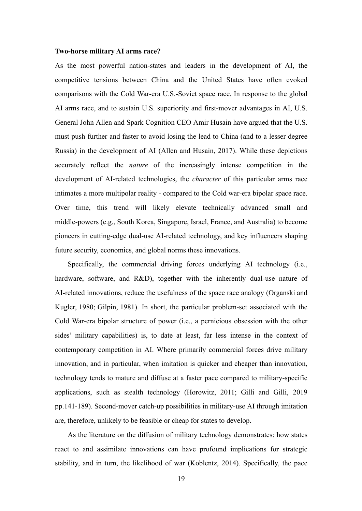### **Two-horse military AI arms race?**

As the most powerful nation-states and leaders in the development of AI, the competitive tensions between China and the United States have often evoked comparisons with the Cold War-era U.S.-Soviet space race. In response to the global AI arms race, and to sustain U.S. superiority and first-mover advantages in AI, U.S. General John Allen and Spark Cognition CEO Amir Husain have argued that the U.S. must push further and faster to avoid losing the lead to China (and to a lesser degree Russia) in the development of AI (Allen and Husain, 2017). While these depictions accurately reflect the *nature* of the increasingly intense competition in the development of AI-related technologies, the *character* of this particular arms race intimates a more multipolar reality - compared to the Cold war-era bipolar space race. Over time, this trend will likely elevate technically advanced small and middle-powers (e.g., South Korea, Singapore, Israel, France, and Australia) to become pioneers in cutting-edge dual-use AI-related technology, and key influencers shaping future security, economics, and global norms these innovations.

Specifically, the commercial driving forces underlying AI technology (i.e., hardware, software, and R&D), together with the inherently dual-use nature of AI-related innovations, reduce the usefulness of the space race analogy (Organski and Kugler, 1980; Gilpin, 1981). In short, the particular problem-set associated with the Cold War-era bipolar structure of power (i.e., a pernicious obsession with the other sides' military capabilities) is, to date at least, far less intense in the context of contemporary competition in AI. Where primarily commercial forces drive military innovation, and in particular, when imitation is quicker and cheaper than innovation, technology tends to mature and diffuse at a faster pace compared to military-specific applications, such as stealth technology (Horowitz, 2011; Gilli and Gilli, 2019 pp.141-189). Second-mover catch-up possibilities in military-use AI through imitation are, therefore, unlikely to be feasible or cheap for states to develop.

As the literature on the diffusion of military technology demonstrates: how states react to and assimilate innovations can have profound implications for strategic stability, and in turn, the likelihood of war (Koblentz, 2014). Specifically, the pace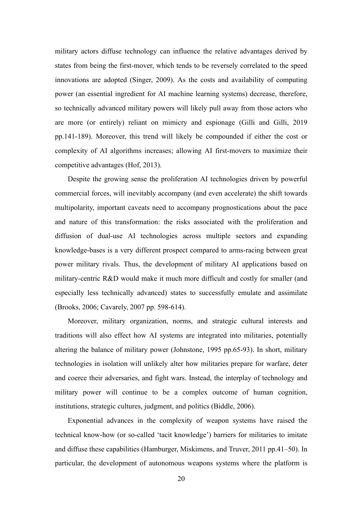military actors diffuse technology can influence the relative advantages derived by states from being the first-mover, which tends to be reversely correlated to the speed innovations are adopted (Singer, 2009). As the costs and availability of computing power (an essential ingredient for AI machine learning systems) decrease, therefore, so technically advanced military powers will likely pull away from those actors who are more (or entirely) reliant on mimicry and espionage (Gilli and Gilli, 2019 pp.141-189). Moreover, this trend will likely be compounded if either the cost or complexity of AI algorithms increases; allowing AI first-movers to maximize their competitive advantages (Hof, 2013).

Despite the growing sense the proliferation AI technologies driven by powerful commercial forces, will inevitably accompany (and even accelerate) the shift towards multipolarity, important caveats need to accompany prognostications about the pace and nature of this transformation: the risks associated with the proliferation and diffusion of dual-use AI technologies across multiple sectors and expanding knowledge-bases is a very different prospect compared to arms-racing between great power military rivals. Thus, the development of military AI applications based on military-centric R&D would make it much more difficult and costly for smaller (and especially less technically advanced) states to successfully emulate and assimilate (Brooks, 2006; Cavarely, 2007 pp. 598-614).

Moreover, military organization, norms, and strategic cultural interests and traditions will also effect how AI systems are integrated into militaries, potentially altering the balance of military power (Johnstone, 1995 pp.65-93). In short, military technologies in isolation will unlikely alter how militaries prepare for warfare, deter and coerce their adversaries, and fight wars. Instead, the interplay of technology and military power will continue to be a complex outcome of human cognition, institutions, strategic cultures, judgment, and politics (Biddle, 2006).

Exponential advances in the complexity of weapon systems have raised the technical know-how (or so-called 'tacit knowledge') barriers for militaries to imitate and diffuse these capabilities (Hamburger, Miskimens, and Truver, 2011 pp.41–50). In particular, the development of autonomous weapons systems where the platform is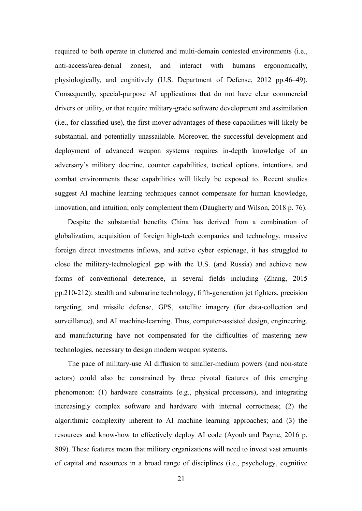required to both operate in cluttered and multi-domain contested environments (i.e., anti-access/area-denial zones), and interact with humans ergonomically, physiologically, and cognitively (U.S. Department of Defense, 2012 pp.46–49). Consequently, special-purpose AI applications that do not have clear commercial drivers or utility, or that require military-grade software development and assimilation (i.e., for classified use), the first-mover advantages of these capabilities will likely be substantial, and potentially unassailable. Moreover, the successful development and deployment of advanced weapon systems requires in-depth knowledge of an adversary's military doctrine, counter capabilities, tactical options, intentions, and combat environments these capabilities will likely be exposed to. Recent studies suggest AI machine learning techniques cannot compensate for human knowledge, innovation, and intuition; only complement them (Daugherty and Wilson, 2018 p. 76).

Despite the substantial benefits China has derived from a combination of globalization, acquisition of foreign high-tech companies and technology, massive foreign direct investments inflows, and active cyber espionage, it has struggled to close the military-technological gap with the U.S. (and Russia) and achieve new forms of conventional deterrence, in several fields including (Zhang, 2015 pp.210-212): stealth and submarine technology, fifth-generation jet fighters, precision targeting, and missile defense, GPS, satellite imagery (for data-collection and surveillance), and AI machine-learning. Thus, computer-assisted design, engineering, and manufacturing have not compensated for the difficulties of mastering new technologies, necessary to design modern weapon systems.

The pace of military-use AI diffusion to smaller-medium powers (and non-state actors) could also be constrained by three pivotal features of this emerging phenomenon: (1) hardware constraints (e.g., physical processors), and integrating increasingly complex software and hardware with internal correctness; (2) the algorithmic complexity inherent to AI machine learning approaches; and (3) the resources and know-how to effectively deploy AI code (Ayoub and Payne, 2016 p. 809). These features mean that military organizations will need to invest vast amounts of capital and resources in a broad range of disciplines (i.e., psychology, cognitive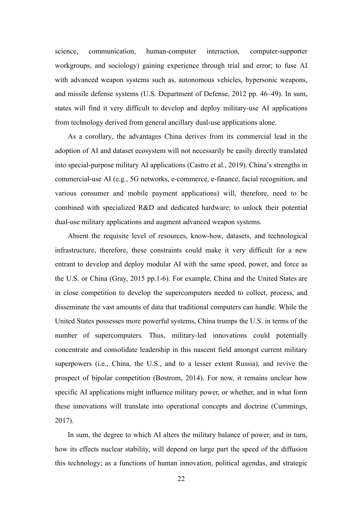science, communication, human-computer interaction, computer-supporter workgroups, and sociology) gaining experience through trial and error; to fuse AI with advanced weapon systems such as, autonomous vehicles, hypersonic weapons, and missile defense systems (U.S. Department of Defense, 2012 pp. 46–49). In sum, states will find it very difficult to develop and deploy military-use AI applications from technology derived from general ancillary dual-use applications alone.

As a corollary, the advantages China derives from its commercial lead in the adoption of AI and dataset ecosystem will not necessarily be easily directly translated into special-purpose military AI applications (Castro et al., 2019). China's strengths in commercial-use AI (e.g., 5G networks, e-commerce, e-finance, facial recognition, and various consumer and mobile payment applications) will, therefore, need to be combined with specialized R&D and dedicated hardware; to unlock their potential dual-use military applications and augment advanced weapon systems.

Absent the requisite level of resources, know-how, datasets, and technological infrastructure, therefore, these constraints could make it very difficult for a new entrant to develop and deploy modular AI with the same speed, power, and force as the U.S. or China (Gray, 2015 pp.1-6). For example, China and the United States are in close competition to develop the supercomputers needed to collect, process, and disseminate the vast amounts of data that traditional computers can handle. While the United States possesses more powerful systems, China trumps the U.S. in terms of the number of supercomputers. Thus, military-led innovations could potentially concentrate and consolidate leadership in this nascent field amongst current military superpowers (i.e., China, the U.S., and to a lesser extent Russia), and revive the prospect of bipolar competition (Bostrom, 2014). For now, it remains unclear how specific AI applications might influence military power, or whether, and in what form these innovations will translate into operational concepts and doctrine (Cummings, 2017).

In sum, the degree to which AI alters the military balance of power, and in turn, how its effects nuclear stability, will depend on large part the speed of the diffusion this technology; as a functions of human innovation, political agendas, and strategic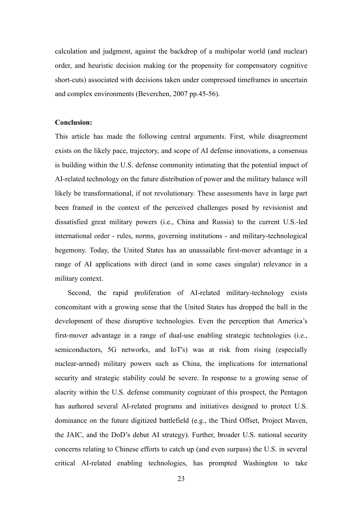calculation and judgment, against the backdrop of a multipolar world (and nuclear) order, and heuristic decision making (or the propensity for compensatory cognitive short-cuts) associated with decisions taken under compressed timeframes in uncertain and complex environments (Beverchen, 2007 pp.45-56).

## **Conclusion:**

This article has made the following central arguments. First, while disagreement exists on the likely pace, trajectory, and scope of AI defense innovations, a consensus is building within the U.S. defense community intimating that the potential impact of AI-related technology on the future distribution of power and the military balance will likely be transformational, if not revolutionary. These assessments have in large part been framed in the context of the perceived challenges posed by revisionist and dissatisfied great military powers (i.e., China and Russia) to the current U.S.-led international order - rules, norms, governing institutions - and military-technological hegemony. Today, the United States has an unassailable first-mover advantage in a range of AI applications with direct (and in some cases singular) relevance in a military context.

Second, the rapid proliferation of AI-related military-technology exists concomitant with a growing sense that the United States has dropped the ball in the development of these disruptive technologies. Even the perception that America's first-mover advantage in a range of dual-use enabling strategic technologies (i.e., semiconductors, 5G networks, and IoT's) was at risk from rising (especially nuclear-armed) military powers such as China, the implications for international security and strategic stability could be severe. In response to a growing sense of alacrity within the U.S. defense community cognizant of this prospect, the Pentagon has authored several AI-related programs and initiatives designed to protect U.S. dominance on the future digitized battlefield (e.g., the Third Offset, Project Maven, the JAIC, and the DoD's debut AI strategy). Further, broader U.S. national security concerns relating to Chinese efforts to catch up (and even surpass) the U.S. in several critical AI-related enabling technologies, has prompted Washington to take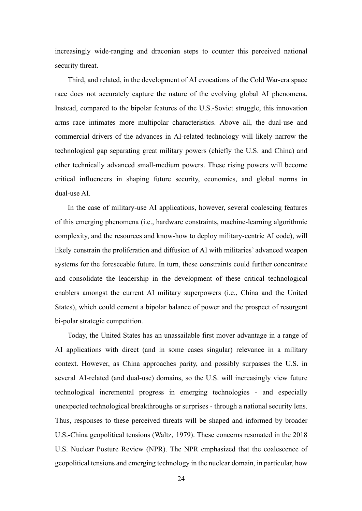increasingly wide-ranging and draconian steps to counter this perceived national security threat.

Third, and related, in the development of AI evocations of the Cold War-era space race does not accurately capture the nature of the evolving global AI phenomena. Instead, compared to the bipolar features of the U.S.-Soviet struggle, this innovation arms race intimates more multipolar characteristics. Above all, the dual-use and commercial drivers of the advances in AI-related technology will likely narrow the technological gap separating great military powers (chiefly the U.S. and China) and other technically advanced small-medium powers. These rising powers will become critical influencers in shaping future security, economics, and global norms in dual-use AI.

In the case of military-use AI applications, however, several coalescing features of this emerging phenomena (i.e., hardware constraints, machine-learning algorithmic complexity, and the resources and know-how to deploy military-centric AI code), will likely constrain the proliferation and diffusion of AI with militaries' advanced weapon systems for the foreseeable future. In turn, these constraints could further concentrate and consolidate the leadership in the development of these critical technological enablers amongst the current AI military superpowers (i.e., China and the United States), which could cement a bipolar balance of power and the prospect of resurgent bi-polar strategic competition.

Today, the United States has an unassailable first mover advantage in a range of AI applications with direct (and in some cases singular) relevance in a military context. However, as China approaches parity, and possibly surpasses the U.S. in several AI-related (and dual-use) domains, so the U.S. will increasingly view future technological incremental progress in emerging technologies - and especially unexpected technological breakthroughs or surprises - through a national security lens. Thus, responses to these perceived threats will be shaped and informed by broader U.S.-China geopolitical tensions (Waltz, 1979). These concerns resonated in the 2018 U.S. Nuclear Posture Review (NPR). The NPR emphasized that the coalescence of geopolitical tensions and emerging technology in the nuclear domain, in particular, how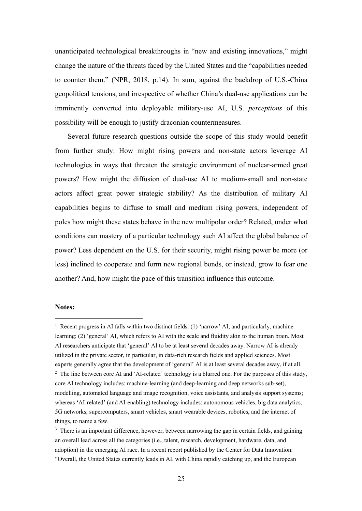unanticipated technological breakthroughs in "new and existing innovations," might change the nature of the threats faced by the United States and the "capabilities needed to counter them." (NPR, 2018, p.14). In sum, against the backdrop of U.S.-China geopolitical tensions, and irrespective of whether China's dual-use applications can be imminently converted into deployable military-use AI, U.S. *perceptions* of this possibility will be enough to justify draconian countermeasures.

Several future research questions outside the scope of this study would benefit from further study: How might rising powers and non-state actors leverage AI technologies in ways that threaten the strategic environment of nuclear-armed great powers? How might the diffusion of dual-use AI to medium-small and non-state actors affect great power strategic stability? As the distribution of military AI capabilities begins to diffuse to small and medium rising powers, independent of poles how might these states behave in the new multipolar order? Related, under what conditions can mastery of a particular technology such AI affect the global balance of power? Less dependent on the U.S. for their security, might rising power be more (or less) inclined to cooperate and form new regional bonds, or instead, grow to fear one another? And, how might the pace of this transition influence this outcome.

### **Notes:**

<sup>&</sup>lt;sup>1</sup> Recent progress in AI falls within two distinct fields: (1) 'narrow' AI, and particularly, machine learning; (2) 'general' AI, which refers to AI with the scale and fluidity akin to the human brain. Most AI researchers anticipate that 'general' AI to be at least several decades away. Narrow AI is already utilized in the private sector, in particular, in data-rich research fields and applied sciences. Most experts generally agree that the development of 'general' AI is at least several decades away, if at all. <sup>2</sup> The line between core AI and 'AI-related' technology is a blurred one. For the purposes of this study, core AI technology includes: machine-learning (and deep-learning and deep networks sub-set), modelling, automated language and image recognition, voice assistants, and analysis support systems; whereas 'AI-related' (and AI-enabling) technology includes: autonomous vehicles, big data analytics, 5G networks, supercomputers, smart vehicles, smart wearable devices, robotics, and the internet of things, to name a few.

<sup>&</sup>lt;sup>3</sup> There is an important difference, however, between narrowing the gap in certain fields, and gaining an overall lead across all the categories (i.e., talent, research, development, hardware, data, and adoption) in the emerging AI race. In a recent report published by the Center for Data Innovation: "Overall, the United States currently leads in AI, with China rapidly catching up, and the European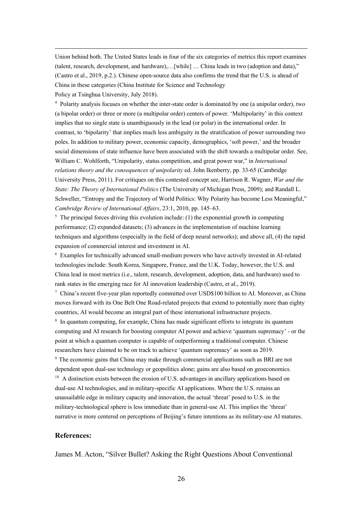Union behind both. The United States leads in four of the six categories of metrics this report examines (talent, research, development, and hardware),…[while] … China leads in two (adoption and data)," (Castro et al., 2019, p.2.). Chinese open-source data also confirms the trend that the U.S. is ahead of China in these categories (China Institute for Science and Technology

Policy at Tsinghua University, July 2018).

<sup>4</sup> Polarity analysis focuses on whether the inter-state order is dominated by one (a unipolar order), two (a bipolar order) or three or more (a multipolar order) centers of power. 'Multipolarity' in this context implies that no single state is unambiguously in the lead (or polar) in the international order. In contrast, to 'bipolarity' that implies much less ambiguity in the stratification of power surrounding two poles. In addition to military power, economic capacity, demographics, 'soft power,' and the broader social dimensions of state influence have been associated with the shift towards a multipolar order. See, William C. Wohlforth, "Unipolarity, status competition, and great power war," in *International relations theory and the consequences of unipolarity* ed. John Ikenberry, pp. 33-65 (Cambridge University Press, 2011). For critiques on this contested concept see, Harrison R. Wagner, *War and the State: The Theory of International Politics* (The University of Michigan Press, 2009); and Randall L. Schweller, "Entropy and the Trajectory of World Politics: Why Polarity has become Less Meaningful," *Cambridge Review of International Affairs*, 23:1, 2010, pp. 145–63.

 $<sup>5</sup>$  The principal forces driving this evolution include: (1) the exponential growth in computing</sup> performance; (2) expanded datasets; (3) advances in the implementation of machine learning techniques and algorithms (especially in the field of deep neural networks); and above all, (4) the rapid expansion of commercial interest and investment in AI.

<sup>6</sup> Examples for technically advanced small-medium powers who have actively invested in AI-related technologies include: South Korea, Singapore, France, and the U.K. Today, however, the U.S. and China lead in most metrics (i.e., talent, research, development, adoption, data, and hardware) used to rank states in the emerging race for AI innovation leadership (Castro, et al., 2019).

<sup>7</sup> China's recent five-year plan reportedly committed over USD\$100 billion to AI. Moreover, as China moves forward with its One Belt One Road-related projects that extend to potentially more than eighty countries, AI would become an integral part of these international infrastructure projects.

<sup>8</sup> In quantum computing, for example, China has made significant efforts to integrate its quantum computing and AI research for boosting computer AI power and achieve 'quantum supremacy' - or the point at which a quantum computer is capable of outperforming a traditional computer. Chinese researchers have claimed to be on track to achieve 'quantum supremacy' as soon as 2019. <sup>9</sup> The economic gains that China may make through commercial applications such as BRI are not dependent upon dual-use technology or geopolitics alone; gains are also based on geoeconomics. <sup>10</sup> A distinction exists between the erosion of U.S. advantages in ancillary applications based on dual-use AI technologies, and in military-specific AI applications. Where the U.S. retains an unassailable edge in military capacity and innovation, the actual 'threat' posed to U.S. in the military-technological sphere is less immediate than in general-use AI. This implies the 'threat' narrative is more centered on perceptions of Beijing's future intentions as its military-use AI matures.

## **References:**

James M. Acton, "Silver Bullet? Asking the Right Questions About Conventional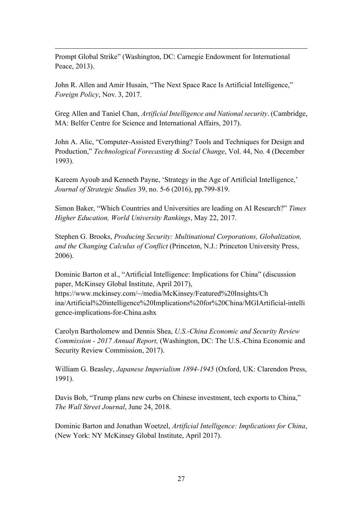Prompt Global Strike" (Washington, DC: Carnegie Endowment for International Peace, 2013).

John R. Allen and Amir Husain, "The Next Space Race Is Artificial Intelligence," *Foreign Policy*, Nov. 3, 2017.

Greg Allen and Taniel Chan, *Artificial Intelligence and National security*. (Cambridge, MA: Belfer Centre for Science and International Affairs, 2017).

John A. Alic, "Computer-Assisted Everything? Tools and Techniques for Design and Production," *Technological Forecasting & Social Change*, Vol. 44, No. 4 (December 1993).

Kareem Ayoub and Kenneth Payne, 'Strategy in the Age of Artificial Intelligence,' *Journal of Strategic Studies* 39, no. 5-6 (2016), pp.799-819.

Simon Baker, "Which Countries and Universities are leading on AI Research?" *Times Higher Education, World University Rankings*, May 22, 2017.

Stephen G. Brooks, *Producing Security: Multinational Corporations, Globalization, and the Changing Calculus of Conflict* (Princeton, N.J.: Princeton University Press, 2006).

Dominic Barton et al., "Artificial Intelligence: Implications for China" (discussion paper, McKinsey Global Institute, April 2017), https://www.mckinsey.com/~/media/McKinsey/Featured%20Insights/Ch ina/Artificial%20intelligence%20Implications%20for%20China/MGIArtificial-intelli gence-implications-for-China.ashx

Carolyn Bartholomew and Dennis Shea, *U.S.-China Economic and Security Review Commission - 2017 Annual Report,* (Washington, DC: The U.S.-China Economic and Security Review Commission, 2017).

William G. Beasley, *Japanese Imperialism 1894-1945* (Oxford, UK: Clarendon Press, 1991).

Davis Bob, "Trump plans new curbs on Chinese investment, tech exports to China," *The Wall Street Journal*, June 24, 2018.

Dominic Barton and Jonathan Woetzel, *Artificial Intelligence: Implications for China*, (New York: NY McKinsey Global Institute, April 2017).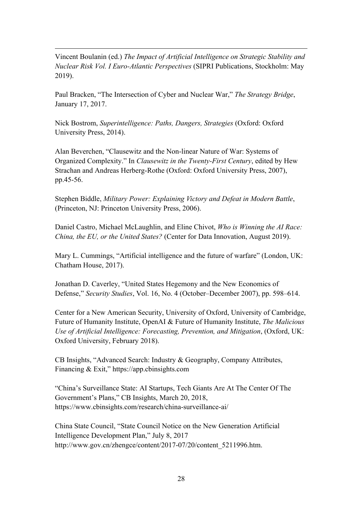Vincent Boulanin (ed.) *The Impact of Artificial Intelligence on Strategic Stability and Nuclear Risk Vol. I Euro-Atlantic Perspectives* (SIPRI Publications, Stockholm: May 2019).

Paul Bracken, "The Intersection of Cyber and Nuclear War," *The Strategy Bridge*, January 17, 2017.

Nick Bostrom, *Superintelligence: Paths, Dangers, Strategies* (Oxford: Oxford University Press, 2014).

Alan Beverchen, "Clausewitz and the Non-linear Nature of War: Systems of Organized Complexity." In *Clausewitz in the Twenty-First Century*, edited by Hew Strachan and Andreas Herberg-Rothe (Oxford: Oxford University Press, 2007), pp.45-56.

Stephen Biddle, *Military Power: Explaining Victory and Defeat in Modern Battle*, (Princeton, NJ: Princeton University Press, 2006).

Daniel Castro, Michael McLaughlin, and Eline Chivot, *Who is Winning the AI Race: China, the EU, or the United States?* (Center for Data Innovation, August 2019).

Mary L. Cummings, "Artificial intelligence and the future of warfare" (London, UK: Chatham House, 2017).

Jonathan D. Caverley, "United States Hegemony and the New Economics of Defense," *Security Studies*, Vol. 16, No. 4 (October–December 2007), pp. 598–614.

Center for a New American Security, University of Oxford, University of Cambridge, Future of Humanity Institute, OpenAI & Future of Humanity Institute, *The Malicious Use of Artificial Intelligence: Forecasting, Prevention, and Mitigation*, (Oxford, UK: Oxford University, February 2018).

CB Insights, "Advanced Search: Industry & Geography, Company Attributes, Financing & Exit," https://app.cbinsights.com

"China's Surveillance State: AI Startups, Tech Giants Are At The Center Of The Government's Plans," CB Insights, March 20, 2018, https://www.cbinsights.com/research/china-surveillance-ai/

China State Council, "State Council Notice on the New Generation Artificial Intelligence Development Plan," July 8, 2017 http://www.gov.cn/zhengce/content/2017-07/20/content\_5211996.htm.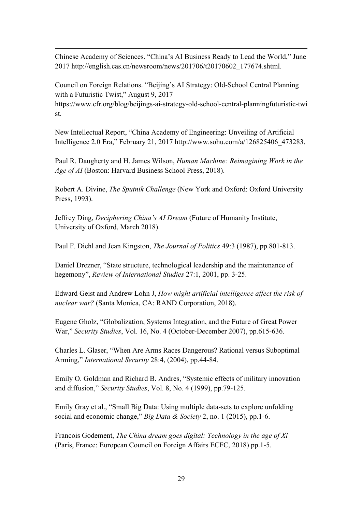Chinese Academy of Sciences. "China's AI Business Ready to Lead the World," June 2017 http://english.cas.cn/newsroom/news/201706/t20170602\_177674.shtml.

Council on Foreign Relations. "Beijing's AI Strategy: Old-School Central Planning with a Futuristic Twist," August 9, 2017

https://www.cfr.org/blog/beijings-ai-strategy-old-school-central-planningfuturistic-twi st.

New Intellectual Report, "China Academy of Engineering: Unveiling of Artificial Intelligence 2.0 Era," February 21, 2017 http://www.sohu.com/a/126825406\_473283.

Paul R. Daugherty and H. James Wilson, *Human Machine: Reimagining Work in the Age of AI* (Boston: Harvard Business School Press, 2018).

Robert A. Divine, *The Sputnik Challenge* (New York and Oxford: Oxford University Press, 1993).

Jeffrey Ding, *Deciphering China's AI Dream* (Future of Humanity Institute, University of Oxford, March 2018).

Paul F. Diehl and Jean Kingston, *The Journal of Politics* 49:3 (1987), pp.801-813.

Daniel Drezner, "State structure, technological leadership and the maintenance of hegemony", *Review of International Studies* 27:1, 2001, pp. 3-25.

Edward Geist and Andrew Lohn J, *How might artificial intelligence affect the risk of nuclear war?* (Santa Monica, CA: RAND Corporation, 2018).

Eugene Gholz, "Globalization, Systems Integration, and the Future of Great Power War," *Security Studies*, Vol. 16, No. 4 (October-December 2007), pp.615-636.

Charles L. Glaser, "When Are Arms Races Dangerous? Rational versus Suboptimal Arming," *International Security* 28:4, (2004), pp.44-84.

Emily O. Goldman and Richard B. Andres, "Systemic effects of military innovation and diffusion," *Security Studies*, Vol. 8, No. 4 (1999), pp.79-125.

Emily Gray et al., "Small Big Data: Using multiple data-sets to explore unfolding social and economic change," *Big Data & Society* 2, no. 1 (2015), pp.1-6.

Francois Godement, *The China dream goes digital: Technology in the age of Xi*  (Paris, France: European Council on Foreign Affairs ECFC, 2018) pp.1-5.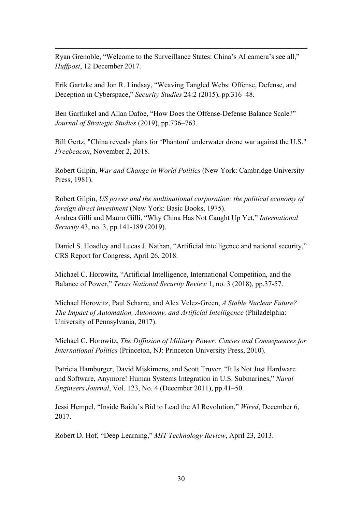Ryan Grenoble, "Welcome to the Surveillance States: China's AI camera's see all," *Huffpost*, 12 December 2017.

Erik Gartzke and Jon R. Lindsay, "Weaving Tangled Webs: Offense, Defense, and Deception in Cyberspace," *Security Studies* 24:2 (2015), pp.316–48.

Ben Garfinkel and Allan Dafoe, "How Does the Offense-Defense Balance Scale?" *Journal of Strategic Studies* (2019), pp.736–763.

Bill Gertz, "China reveals plans for 'Phantom' underwater drone war against the U.S." *Freebeacon*, November 2, 2018.

Robert Gilpin, *War and Change in World Politics* (New York: Cambridge University Press, 1981).

Robert Gilpin, *US power and the multinational corporation: the political economy of foreign direct investment* (New York: Basic Books, 1975). Andrea Gilli and Mauro Gilli, "Why China Has Not Caught Up Yet," *International Security* 43, no. 3, pp.141-189 (2019).

Daniel S. Hoadley and Lucas J. Nathan, "Artificial intelligence and national security," CRS Report for Congress, April 26, 2018.

Michael C. Horowitz, "Artificial Intelligence, International Competition, and the Balance of Power," *Texas National Security Review* 1, no. 3 (2018), pp.37-57.

Michael Horowitz, Paul Scharre, and Alex Velez-Green, *A Stable Nuclear Future? The Impact of Automation, Autonomy, and Artificial Intelligence* (Philadelphia: University of Pennsylvania, 2017).

Michael C. Horowitz, *The Diffusion of Military Power: Causes and Consequences for International Politics* (Princeton, NJ: Princeton University Press, 2010).

Patricia Hamburger, David Miskimens, and Scott Truver, "It Is Not Just Hardware and Software, Anymore! Human Systems Integration in U.S. Submarines," *Naval Engineers Journal*, Vol. 123, No. 4 (December 2011), pp.41–50.

Jessi Hempel, "Inside Baidu's Bid to Lead the AI Revolution," *Wired*, December 6, 2017.

Robert D. Hof, "Deep Learning," *MIT Technology Review*, April 23, 2013.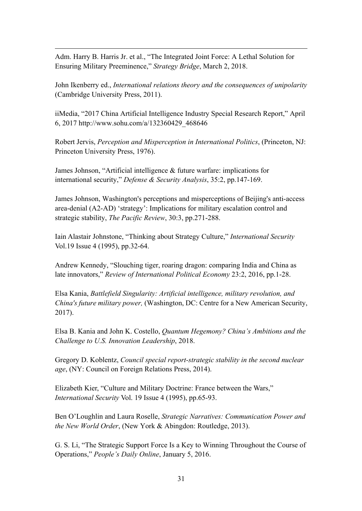Adm. Harry B. Harris Jr. et al., "The Integrated Joint Force: A Lethal Solution for Ensuring Military Preeminence," *Strategy Bridge*, March 2, 2018.

John Ikenberry ed., *International relations theory and the consequences of unipolarity* (Cambridge University Press, 2011).

iiMedia, "2017 China Artificial Intelligence Industry Special Research Report," April 6, 2017 http://www.sohu.com/a/132360429\_468646

Robert Jervis, *Perception and Misperception in International Politics*, (Princeton, NJ: Princeton University Press, 1976).

James Johnson, "Artificial intelligence & future warfare: implications for international security," *Defense & Security Analysis*, 35:2, pp.147-169.

James Johnson, Washington's perceptions and misperceptions of Beijing's anti-access area-denial (A2-AD) 'strategy': Implications for military escalation control and strategic stability, *The Pacific Review*, 30:3, pp.271-288.

Iain Alastair Johnstone, "Thinking about Strategy Culture," *International Security* Vol.19 Issue 4 (1995), pp.32-64.

Andrew Kennedy, "Slouching tiger, roaring dragon: comparing India and China as late innovators," *Review of International Political Economy* 23:2, 2016, pp.1-28.

Elsa Kania, *Battlefield Singularity: Artificial intelligence, military revolution, and China's future military power,* (Washington, DC: Centre for a New American Security, 2017).

Elsa B. Kania and John K. Costello, *Quantum Hegemony? China's Ambitions and the Challenge to U.S. Innovation Leadership*, 2018.

Gregory D. Koblentz, *Council special report-strategic stability in the second nuclear age*, (NY: Council on Foreign Relations Press, 2014).

Elizabeth Kier, "Culture and Military Doctrine: France between the Wars," *International Security* Vol. 19 Issue 4 (1995), pp.65-93.

Ben O'Loughlin and Laura Roselle, *Strategic Narratives: Communication Power and the New World Order*, (New York & Abingdon: Routledge, 2013).

G. S. Li, "The Strategic Support Force Is a Key to Winning Throughout the Course of Operations," *People's Daily Online*, January 5, 2016.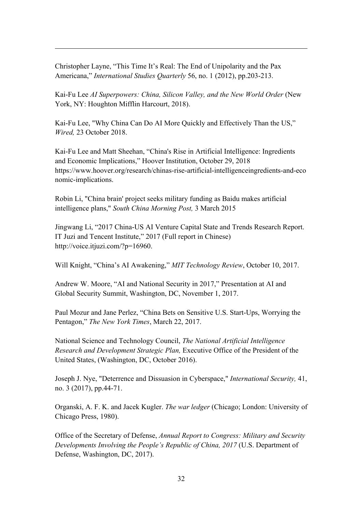Christopher Layne, "This Time It's Real: The End of Unipolarity and the Pax Americana," *International Studies Quarterly* 56, no. 1 (2012), pp.203-213.

Kai-Fu Lee *AI Superpowers: China, Silicon Valley, and the New World Order* (New York, NY: Houghton Mifflin Harcourt, 2018).

Kai-Fu Lee, "Why China Can Do AI More Quickly and Effectively Than the US," *Wired,* 23 October 2018.

Kai-Fu Lee and Matt Sheehan, "China's Rise in Artificial Intelligence: Ingredients and Economic Implications," Hoover Institution, October 29, 2018 https://www.hoover.org/research/chinas-rise-artificial-intelligenceingredients-and-eco nomic-implications.

Robin Li, "China brain' project seeks military funding as Baidu makes artificial intelligence plans," *South China Morning Post,* 3 March 2015

Jingwang Li, "2017 China-US AI Venture Capital State and Trends Research Report. IT Juzi and Tencent Institute," 2017 (Full report in Chinese) http://voice.itjuzi.com/?p=16960.

Will Knight, "China's AI Awakening," *MIT Technology Review*, October 10, 2017.

Andrew W. Moore, "AI and National Security in 2017," Presentation at AI and Global Security Summit, Washington, DC, November 1, 2017.

Paul Mozur and Jane Perlez, "China Bets on Sensitive U.S. Start-Ups, Worrying the Pentagon," *The New York Times*, March 22, 2017.

National Science and Technology Council, *The National Artificial Intelligence Research and Development Strategic Plan,* Executive Office of the President of the United States, (Washington, DC, October 2016).

Joseph J. Nye, "Deterrence and Dissuasion in Cyberspace," *International Security,* 41, no. 3 (2017), pp.44-71.

Organski, A. F. K. and Jacek Kugler. *The war ledger* (Chicago; London: University of Chicago Press, 1980).

Office of the Secretary of Defense, *Annual Report to Congress: Military and Security Developments Involving the People's Republic of China, 2017* (U.S. Department of Defense, Washington, DC, 2017).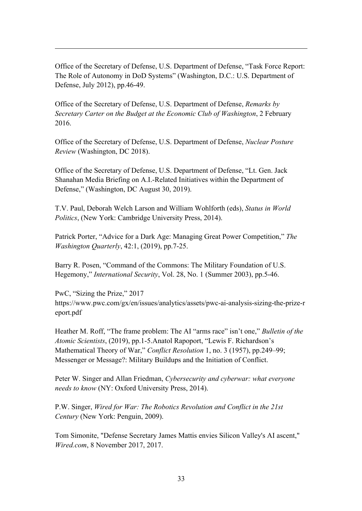Office of the Secretary of Defense, U.S. Department of Defense, "Task Force Report: The Role of Autonomy in DoD Systems" (Washington, D.C.: U.S. Department of Defense, July 2012), pp.46-49.

Office of the Secretary of Defense, U.S. Department of Defense, *Remarks by Secretary Carter on the Budget at the Economic Club of Washington*, 2 February 2016.

Office of the Secretary of Defense, U.S. Department of Defense, *Nuclear Posture Review* (Washington, DC 2018).

Office of the Secretary of Defense, U.S. Department of Defense, "Lt. Gen. Jack Shanahan Media Briefing on A.I.-Related Initiatives within the Department of Defense," (Washington, DC August 30, 2019).

T.V. Paul, Deborah Welch Larson and William Wohlforth (eds), *Status in World Politics*, (New York: Cambridge University Press, 2014).

Patrick Porter, "Advice for a Dark Age: Managing Great Power Competition," *The Washington Quarterly*, 42:1, (2019), pp.7-25.

Barry R. Posen, "Command of the Commons: The Military Foundation of U.S. Hegemony," *International Security*, Vol. 28, No. 1 (Summer 2003), pp.5-46.

PwC, "Sizing the Prize," 2017 https://www.pwc.com/gx/en/issues/analytics/assets/pwc-ai-analysis-sizing-the-prize-r eport.pdf

Heather M. Roff, "The frame problem: The AI "arms race" isn't one," *Bulletin of the Atomic Scientists*, (2019), pp.1-5.Anatol Rapoport, "Lewis F. Richardson's Mathematical Theory of War," *Conflict Resolution* 1, no. 3 (1957), pp.249–99; Messenger or Message?: Military Buildups and the Initiation of Conflict.

Peter W. Singer and Allan Friedman, *Cybersecurity and cyberwar: what everyone needs to know* (NY: Oxford University Press, 2014).

P.W. Singer, *Wired for War: The Robotics Revolution and Conflict in the 21st Century* (New York: Penguin, 2009).

Tom Simonite, "Defense Secretary James Mattis envies Silicon Valley's AI ascent," *Wired.com*, 8 November 2017, 2017.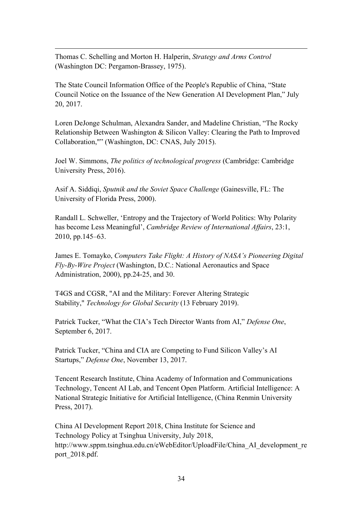Thomas C. Schelling and Morton H. Halperin, *Strategy and Arms Control* (Washington DC: Pergamon-Brassey, 1975).

The State Council Information Office of the People's Republic of China, "State Council Notice on the Issuance of the New Generation AI Development Plan," July 20, 2017.

Loren DeJonge Schulman, Alexandra Sander, and Madeline Christian, "The Rocky Relationship Between Washington & Silicon Valley: Clearing the Path to Improved Collaboration,"" (Washington, DC: CNAS, July 2015).

Joel W. Simmons, *The politics of technological progress* (Cambridge: Cambridge University Press, 2016).

Asif A. Siddiqi, *Sputnik and the Soviet Space Challenge* (Gainesville, FL: The University of Florida Press, 2000).

Randall L. Schweller, 'Entropy and the Trajectory of World Politics: Why Polarity has become Less Meaningful', *Cambridge Review of International Affairs*, 23:1, 2010, pp.145–63.

James E. Tomayko, *Computers Take Flight: A History of NASA's Pioneering Digital Fly-By-Wire Project* (Washington, D.C.: National Aeronautics and Space Administration, 2000), pp.24-25, and 30.

T4GS and CGSR, "AI and the Military: Forever Altering Strategic Stability," *Technology for Global Security* (13 February 2019).

Patrick Tucker, "What the CIA's Tech Director Wants from AI," *Defense One*, September 6, 2017.

Patrick Tucker, "China and CIA are Competing to Fund Silicon Valley's AI Startups," *Defense One*, November 13, 2017.

Tencent Research Institute, China Academy of Information and Communications Technology, Tencent AI Lab, and Tencent Open Platform. Artificial Intelligence: A National Strategic Initiative for Artificial Intelligence, (China Renmin University Press, 2017).

China AI Development Report 2018, China Institute for Science and Technology Policy at Tsinghua University, July 2018, http://www.sppm.tsinghua.edu.cn/eWebEditor/UploadFile/China\_AI\_development\_re port\_2018.pdf.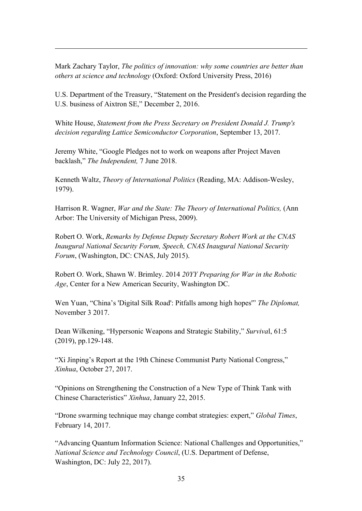Mark Zachary Taylor, *The politics of innovation: why some countries are better than others at science and technology* (Oxford: Oxford University Press, 2016)

U.S. Department of the Treasury, "Statement on the President's decision regarding the U.S. business of Aixtron SE," December 2, 2016.

White House, *Statement from the Press Secretary on President Donald J. Trump's decision regarding Lattice Semiconductor Corporation*, September 13, 2017.

Jeremy White, "Google Pledges not to work on weapons after Project Maven backlash," *The Independent,* 7 June 2018.

Kenneth Waltz, *Theory of International Politics* (Reading, MA: Addison-Wesley, 1979).

Harrison R. Wagner, *War and the State: The Theory of International Politics,* (Ann Arbor: The University of Michigan Press, 2009).

Robert O. Work, *Remarks by Defense Deputy Secretary Robert Work at the CNAS Inaugural National Security Forum, Speech, CNAS Inaugural National Security Forum*, (Washington, DC: CNAS, July 2015).

Robert O. Work, Shawn W. Brimley. 2014 *20YY Preparing for War in the Robotic Age*, Center for a New American Security, Washington DC.

Wen Yuan, "China's 'Digital Silk Road': Pitfalls among high hopes'" *The Diplomat,* November 3 2017.

Dean Wilkening, "Hypersonic Weapons and Strategic Stability," *Surviva*l, 61:5 (2019), pp.129-148.

"Xi Jinping's Report at the 19th Chinese Communist Party National Congress," *Xinhua*, October 27, 2017.

"Opinions on Strengthening the Construction of a New Type of Think Tank with Chinese Characteristics" *Xinhua*, January 22, 2015.

"Drone swarming technique may change combat strategies: expert," *Global Times*, February 14, 2017.

"Advancing Quantum Information Science: National Challenges and Opportunities," *National Science and Technology Council*, (U.S. Department of Defense, Washington, DC: July 22, 2017).